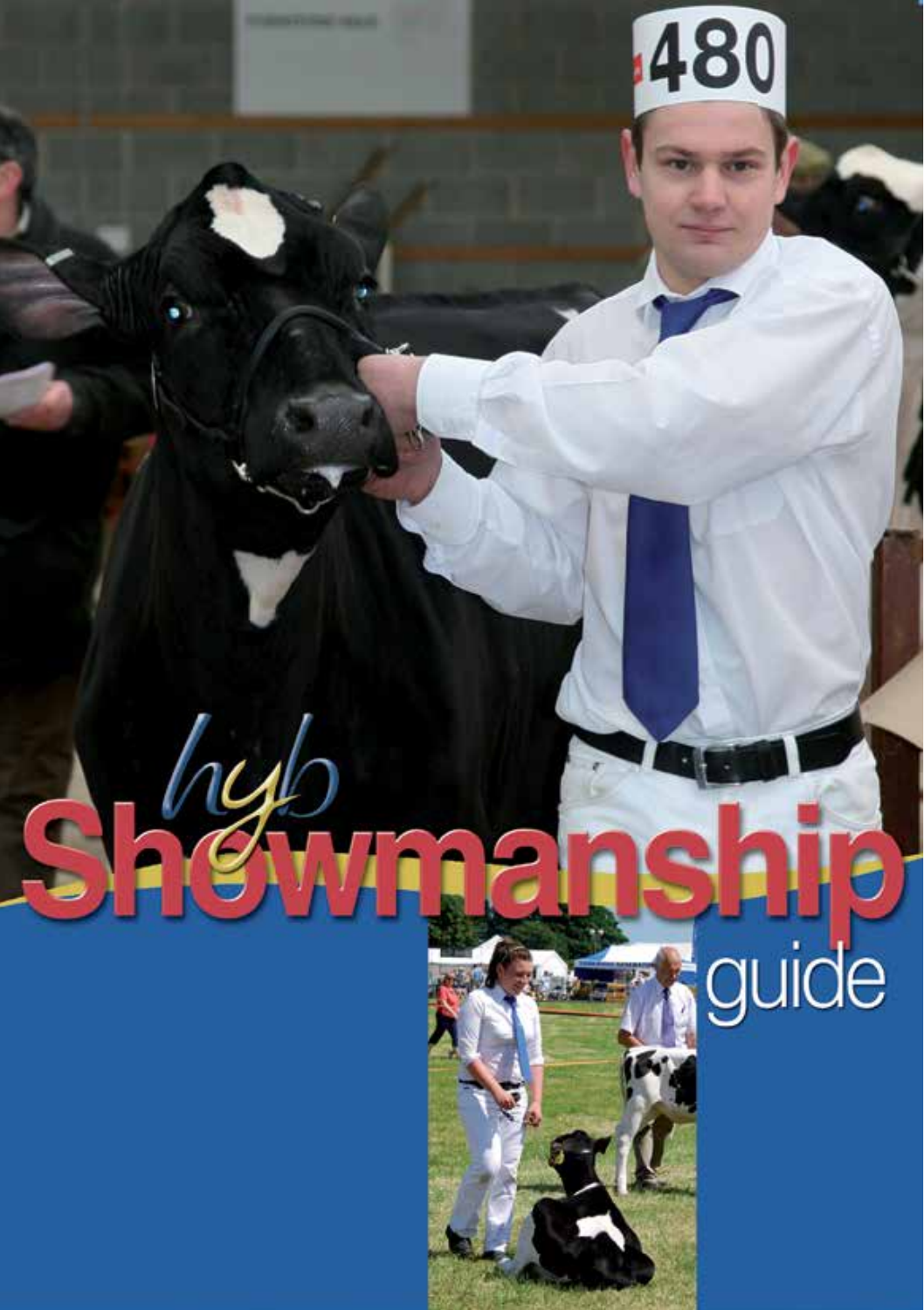# $\boldsymbol{\Theta}$ guide

 $\mathscr{A}$ 

 $\overline{\bullet}$ 

480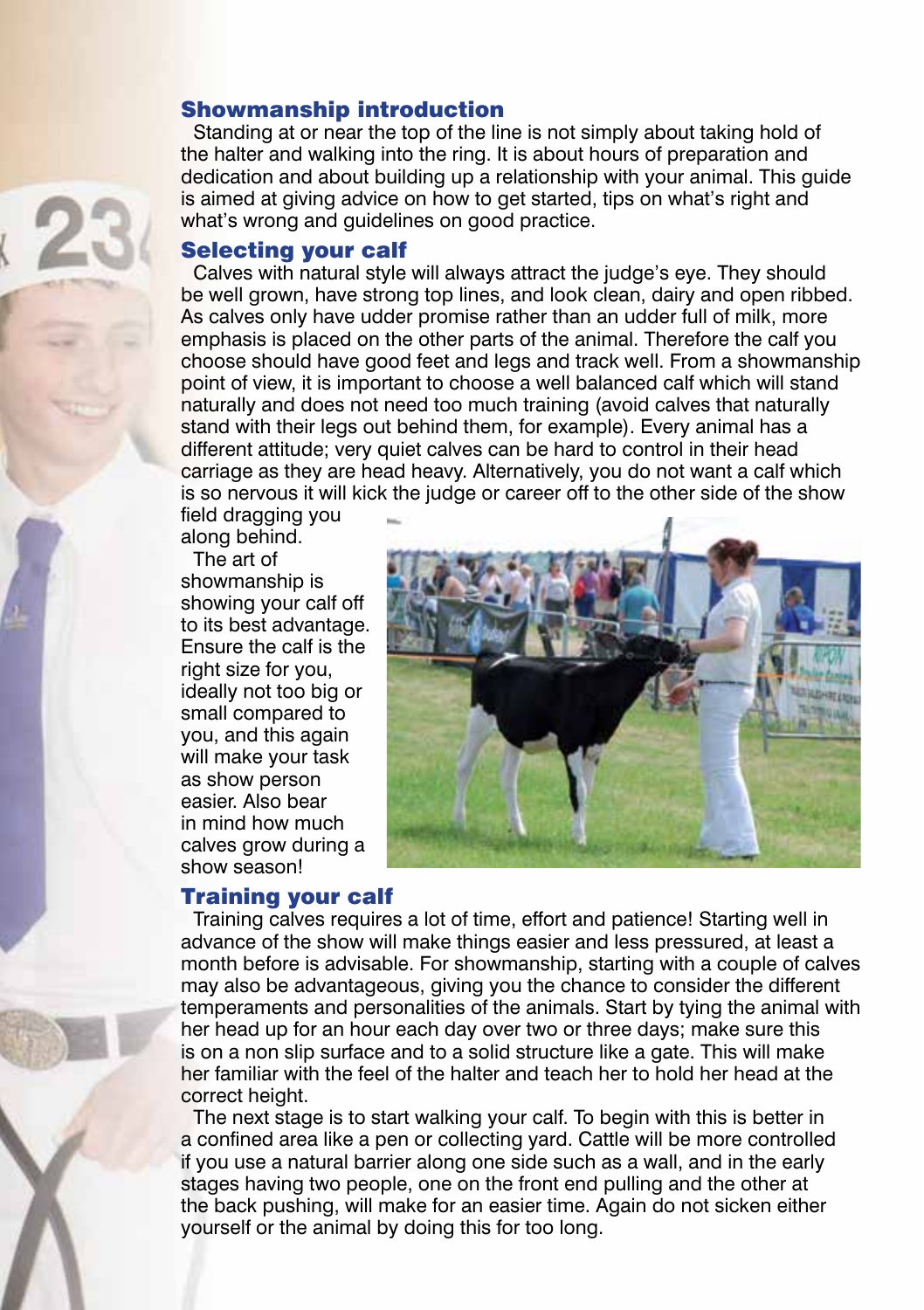#### Showmanship introduction

Standing at or near the top of the line is not simply about taking hold of the halter and walking into the ring. It is about hours of preparation and dedication and about building up a relationship with your animal. This guide is aimed at giving advice on how to get started, tips on what's right and what's wrong and quidelines on good practice.

#### Selecting your calf

Calves with natural style will always attract the judge's eye. They should be well grown, have strong top lines, and look clean, dairy and open ribbed. As calves only have udder promise rather than an udder full of milk, more emphasis is placed on the other parts of the animal. Therefore the calf you choose should have good feet and legs and track well. From a showmanship point of view, it is important to choose a well balanced calf which will stand naturally and does not need too much training (avoid calves that naturally stand with their legs out behind them, for example). Every animal has a different attitude; very quiet calves can be hard to control in their head carriage as they are head heavy. Alternatively, you do not want a calf which is so nervous it will kick the judge or career off to the other side of the show

field dragging you along behind.

The art of showmanship is showing your calf off to its best advantage. Ensure the calf is the right size for you, ideally not too big or small compared to you, and this again will make your task as show person easier. Also bear in mind how much calves grow during a show season!

## Training your calf



Training calves requires a lot of time, effort and patience! Starting well in advance of the show will make things easier and less pressured, at least a month before is advisable. For showmanship, starting with a couple of calves may also be advantageous, giving you the chance to consider the different temperaments and personalities of the animals. Start by tying the animal with her head up for an hour each day over two or three days; make sure this is on a non slip surface and to a solid structure like a gate. This will make her familiar with the feel of the halter and teach her to hold her head at the correct height.

The next stage is to start walking your calf. To begin with this is better in a confined area like a pen or collecting yard. Cattle will be more controlled if you use a natural barrier along one side such as a wall, and in the early stages having two people, one on the front end pulling and the other at the back pushing, will make for an easier time. Again do not sicken either yourself or the animal by doing this for too long.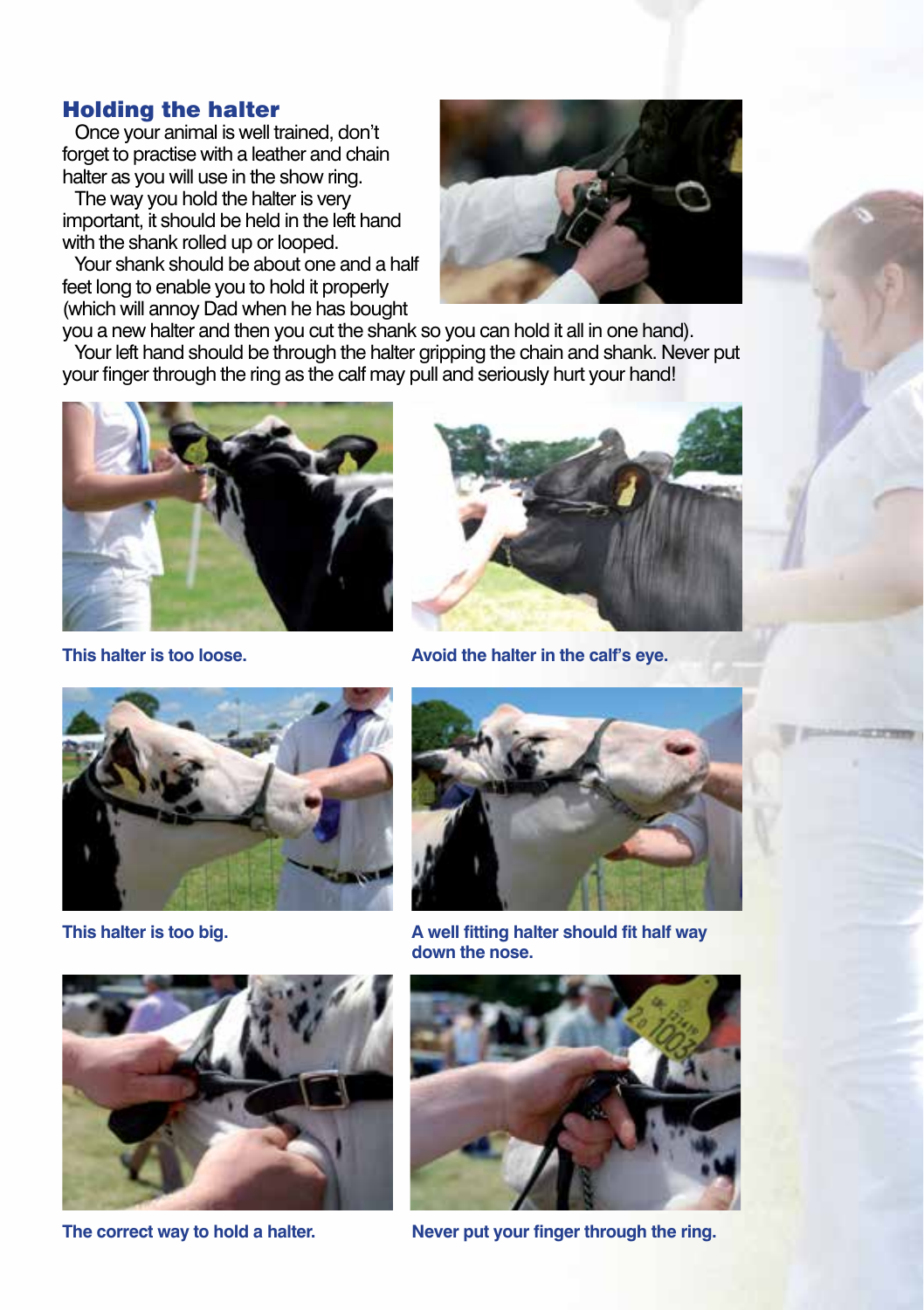#### Holding the halter

Once your animal is well trained, don't forget to practise with a leather and chain halter as you will use in the show ring.

The way you hold the halter is very important, it should be held in the left hand with the shank rolled up or looped.

Your shank should be about one and a half feet long to enable you to hold it properly (which will annoy Dad when he has bought



you a new halter and then you cut the shank so you can hold it all in one hand). Your left hand should be through the halter gripping the chain and shank. Never put your finger through the ring as the calf may pull and seriously hurt your hand!





**This halter is too loose. Avoid the halter in the calf's eye.**









**The correct way to hold a halter. Never put your finger through the ring.**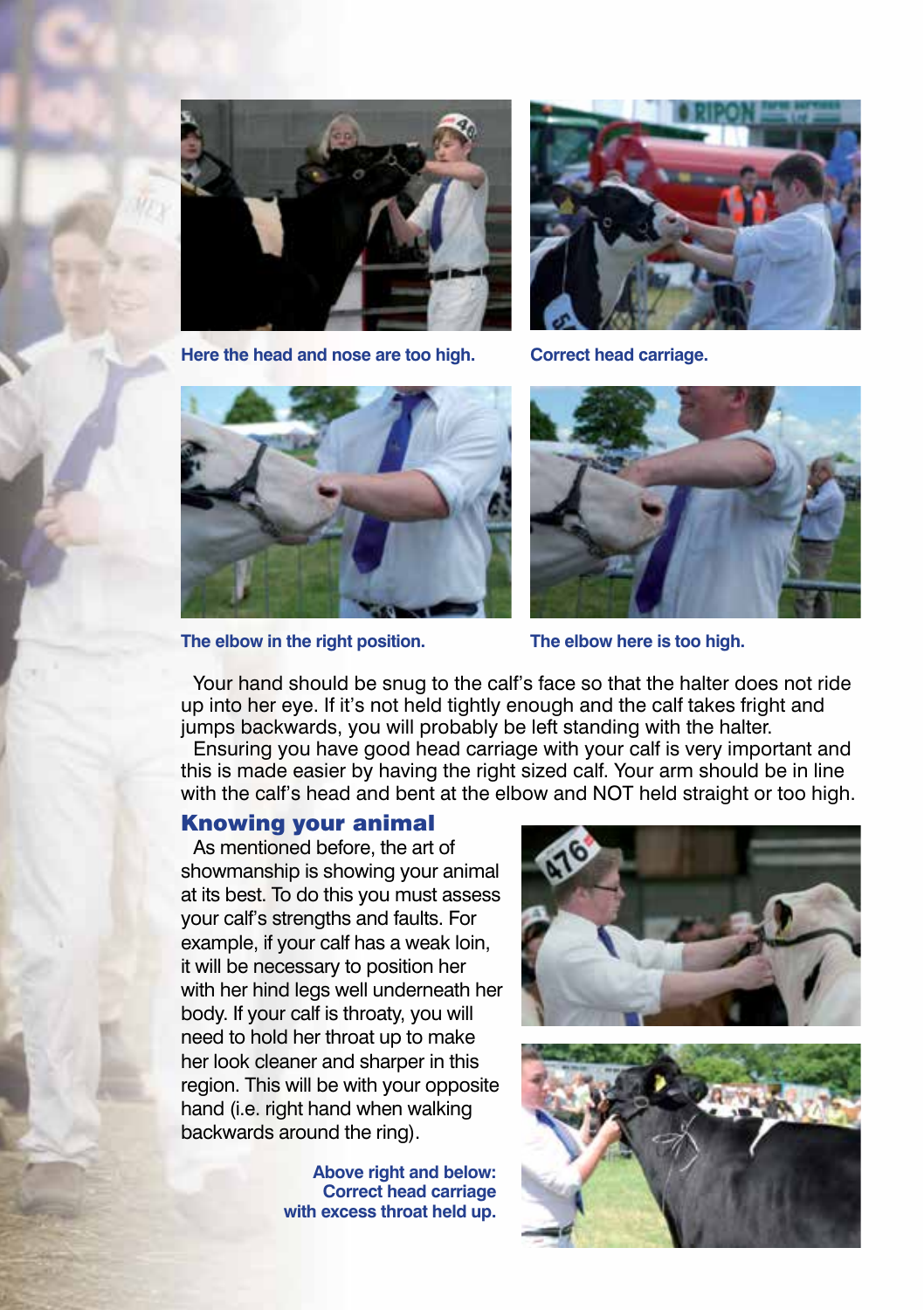

**Here the head and nose are too high. Correct head carriage.**





**The elbow in the right position. The elbow here is too high.**



Your hand should be snug to the calf's face so that the halter does not ride up into her eye. If it's not held tightly enough and the calf takes fright and jumps backwards, you will probably be left standing with the halter.

Ensuring you have good head carriage with your calf is very important and this is made easier by having the right sized calf. Your arm should be in line with the calf's head and bent at the elbow and NOT held straight or too high.

## Knowing your animal

As mentioned before, the art of showmanship is showing your animal at its best. To do this you must assess your calf's strengths and faults. For example, if your calf has a weak loin, it will be necessary to position her with her hind legs well underneath her body. If your calf is throaty, you will need to hold her throat up to make her look cleaner and sharper in this region. This will be with your opposite hand (i.e. right hand when walking backwards around the ring).

> **Above right and below: Correct head carriage with excess throat held up.**



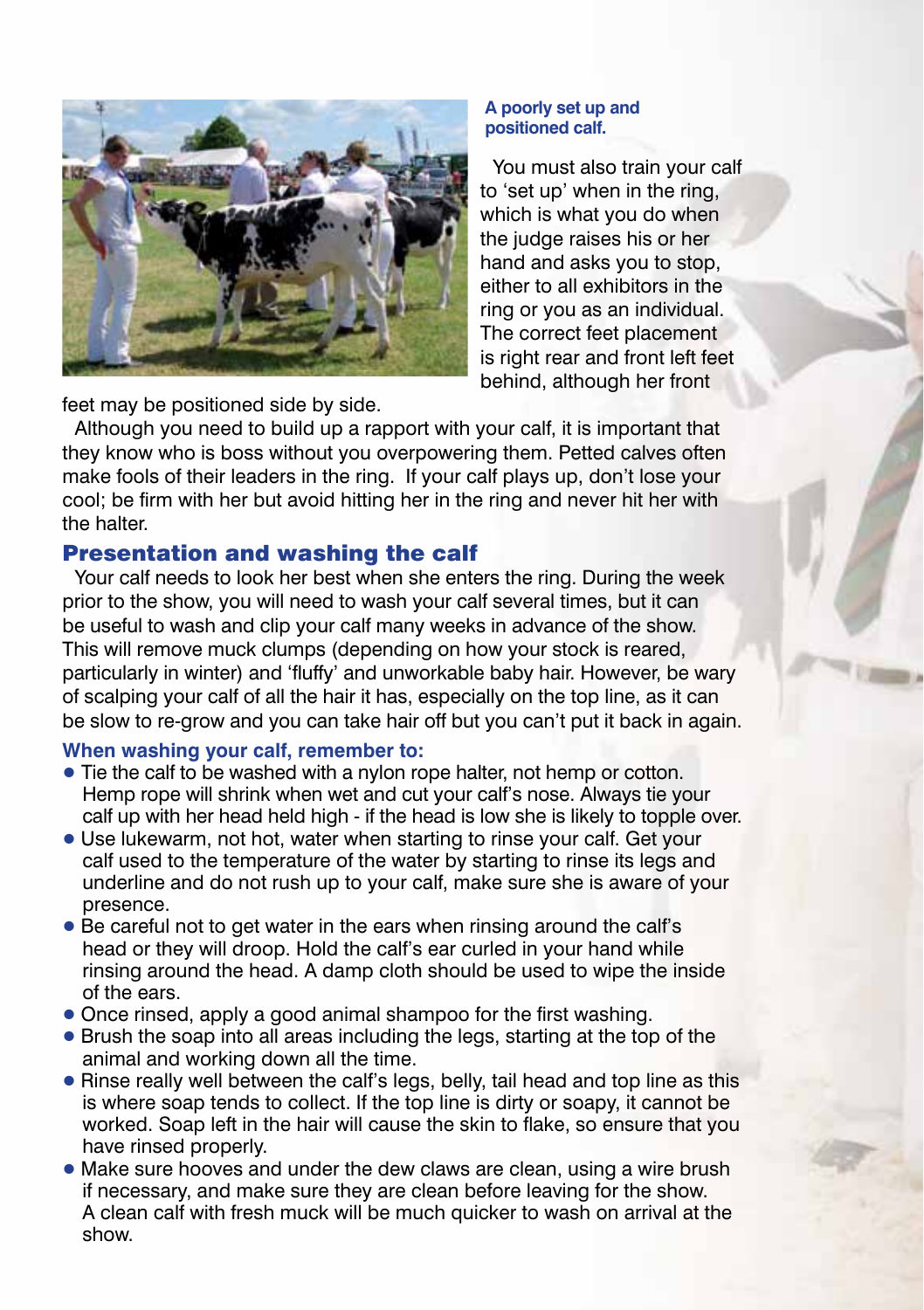

#### **A poorly set up and positioned calf.**

You must also train your calf to 'set up' when in the ring, which is what you do when the judge raises his or her hand and asks you to stop, either to all exhibitors in the ring or you as an individual. The correct feet placement is right rear and front left feet behind, although her front

feet may be positioned side by side.

Although you need to build up a rapport with your calf, it is important that they know who is boss without you overpowering them. Petted calves often make fools of their leaders in the ring. If your calf plays up, don't lose your cool; be firm with her but avoid hitting her in the ring and never hit her with the halter.

# Presentation and washing the calf

Your calf needs to look her best when she enters the ring. During the week prior to the show, you will need to wash your calf several times, but it can be useful to wash and clip your calf many weeks in advance of the show. This will remove muck clumps (depending on how your stock is reared, particularly in winter) and 'fluffy' and unworkable baby hair. However, be wary of scalping your calf of all the hair it has, especially on the top line, as it can be slow to re-grow and you can take hair off but you can't put it back in again.

## **When washing your calf, remember to:**

- Tie the calf to be washed with a nylon rope halter, not hemp or cotton. Hemp rope will shrink when wet and cut your calf's nose. Always tie your calf up with her head held high - if the head is low she is likely to topple over.
- Use lukewarm, not hot, water when starting to rinse your calf. Get your calf used to the temperature of the water by starting to rinse its legs and underline and do not rush up to your calf, make sure she is aware of your presence.
- Be careful not to get water in the ears when rinsing around the calf's head or they will droop. Hold the calf's ear curled in your hand while rinsing around the head. A damp cloth should be used to wipe the inside of the ears.
- Once rinsed, apply a good animal shampoo for the first washing.
- Brush the soap into all areas including the legs, starting at the top of the animal and working down all the time.
- Rinse really well between the calf's legs, belly, tail head and top line as this is where soap tends to collect. If the top line is dirty or soapy, it cannot be worked. Soap left in the hair will cause the skin to flake, so ensure that you have rinsed properly.
- Make sure hooves and under the dew claws are clean, using a wire brush if necessary, and make sure they are clean before leaving for the show. A clean calf with fresh muck will be much quicker to wash on arrival at the show.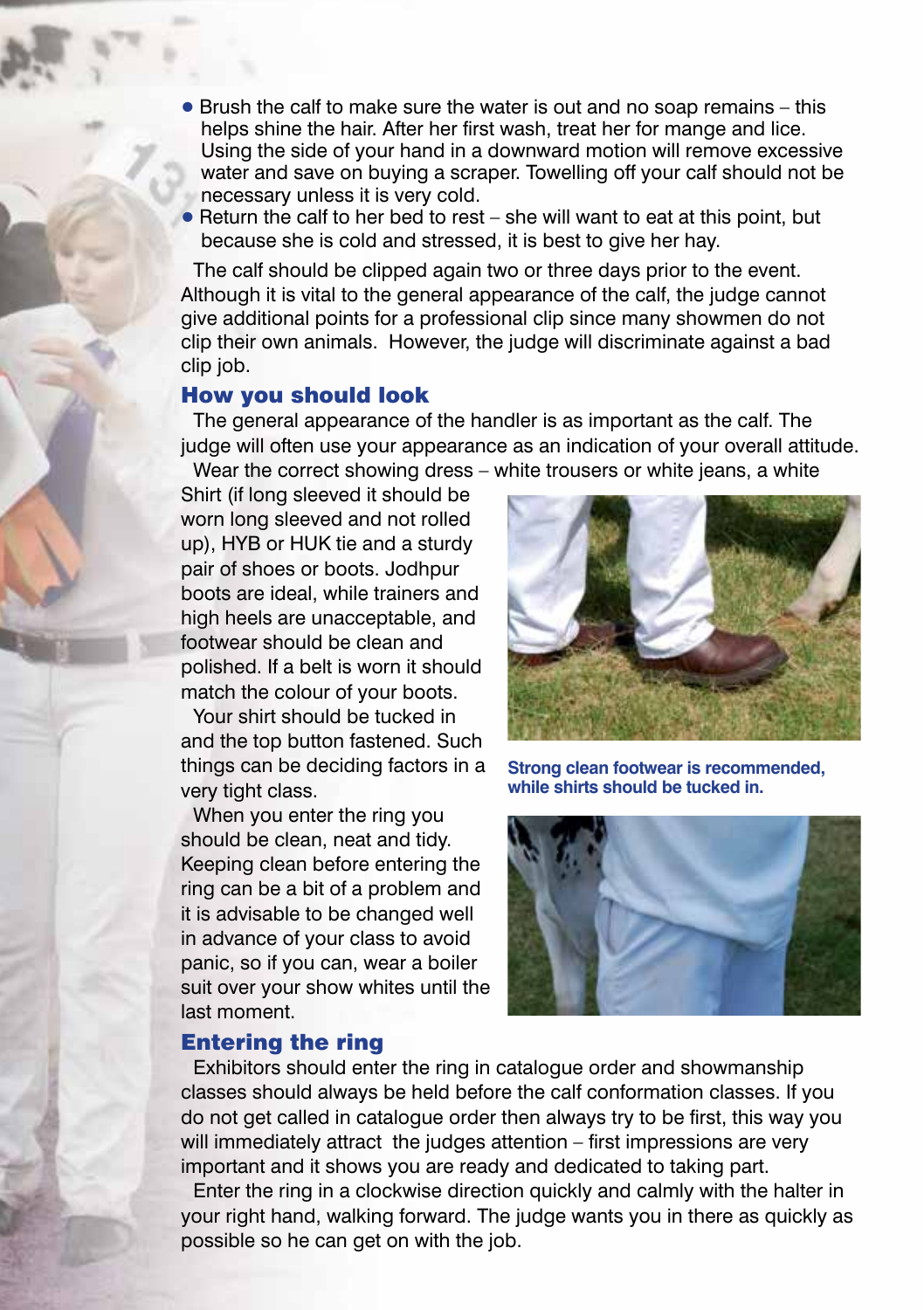- **Brush the calf to make sure the water is out and no soap remains this** helps shine the hair. After her first wash, treat her for mange and lice. Using the side of your hand in a downward motion will remove excessive water and save on buying a scraper. Towelling off your calf should not be necessary unless it is very cold.
- $\bullet$  Return the calf to her bed to rest she will want to eat at this point, but because she is cold and stressed, it is best to give her hay.

The calf should be clipped again two or three days prior to the event. Although it is vital to the general appearance of the calf, the judge cannot give additional points for a professional clip since many showmen do not clip their own animals. However, the judge will discriminate against a bad clip job.

#### How you should look

The general appearance of the handler is as important as the calf. The judge will often use your appearance as an indication of your overall attitude. Wear the correct showing dress – white trousers or white jeans, a white

Shirt (if long sleeved it should be worn long sleeved and not rolled up), HYB or HUK tie and a sturdy pair of shoes or boots. Jodhpur boots are ideal, while trainers and high heels are unacceptable, and footwear should be clean and polished. If a belt is worn it should match the colour of your boots.

Your shirt should be tucked in and the top button fastened. Such things can be deciding factors in a very tight class.

When you enter the ring you should be clean, neat and tidy. Keeping clean before entering the ring can be a bit of a problem and it is advisable to be changed well in advance of your class to avoid panic, so if you can, wear a boiler suit over your show whites until the last moment.

#### Entering the ring



**Strong clean footwear is recommended, while shirts should be tucked in.**



Exhibitors should enter the ring in catalogue order and showmanship classes should always be held before the calf conformation classes. If you do not get called in catalogue order then always try to be first, this way you will immediately attract the judges attention – first impressions are very important and it shows you are ready and dedicated to taking part.

Enter the ring in a clockwise direction quickly and calmly with the halter in your right hand, walking forward. The judge wants you in there as quickly as possible so he can get on with the job.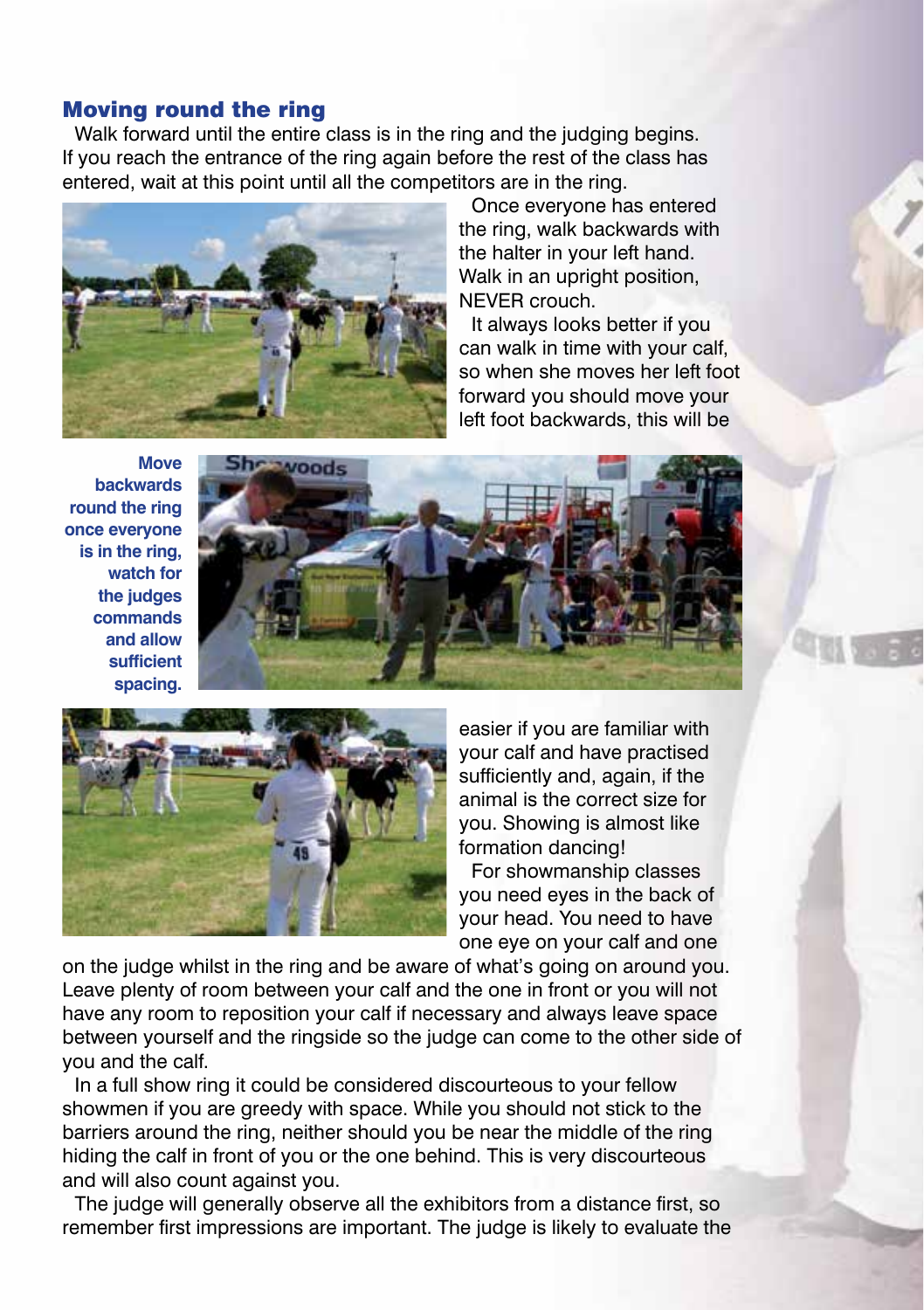#### Moving round the ring

Walk forward until the entire class is in the ring and the judging begins. If you reach the entrance of the ring again before the rest of the class has entered, wait at this point until all the competitors are in the ring.



Once everyone has entered the ring, walk backwards with the halter in your left hand. Walk in an upright position, NEVER crouch.

It always looks better if you can walk in time with your calf, so when she moves her left foot forward you should move your left foot backwards, this will be

**Move backwards round the ring once everyone is in the ring, watch for the judges commands and allow sufficient spacing.**





easier if you are familiar with your calf and have practised sufficiently and, again, if the animal is the correct size for you. Showing is almost like formation dancing!

For showmanship classes you need eyes in the back of your head. You need to have one eye on your calf and one

on the judge whilst in the ring and be aware of what's going on around you. Leave plenty of room between your calf and the one in front or you will not have any room to reposition your calf if necessary and always leave space between yourself and the ringside so the judge can come to the other side of you and the calf.

In a full show ring it could be considered discourteous to your fellow showmen if you are greedy with space. While you should not stick to the barriers around the ring, neither should you be near the middle of the ring hiding the calf in front of you or the one behind. This is very discourteous and will also count against you.

The judge will generally observe all the exhibitors from a distance first, so remember first impressions are important. The judge is likely to evaluate the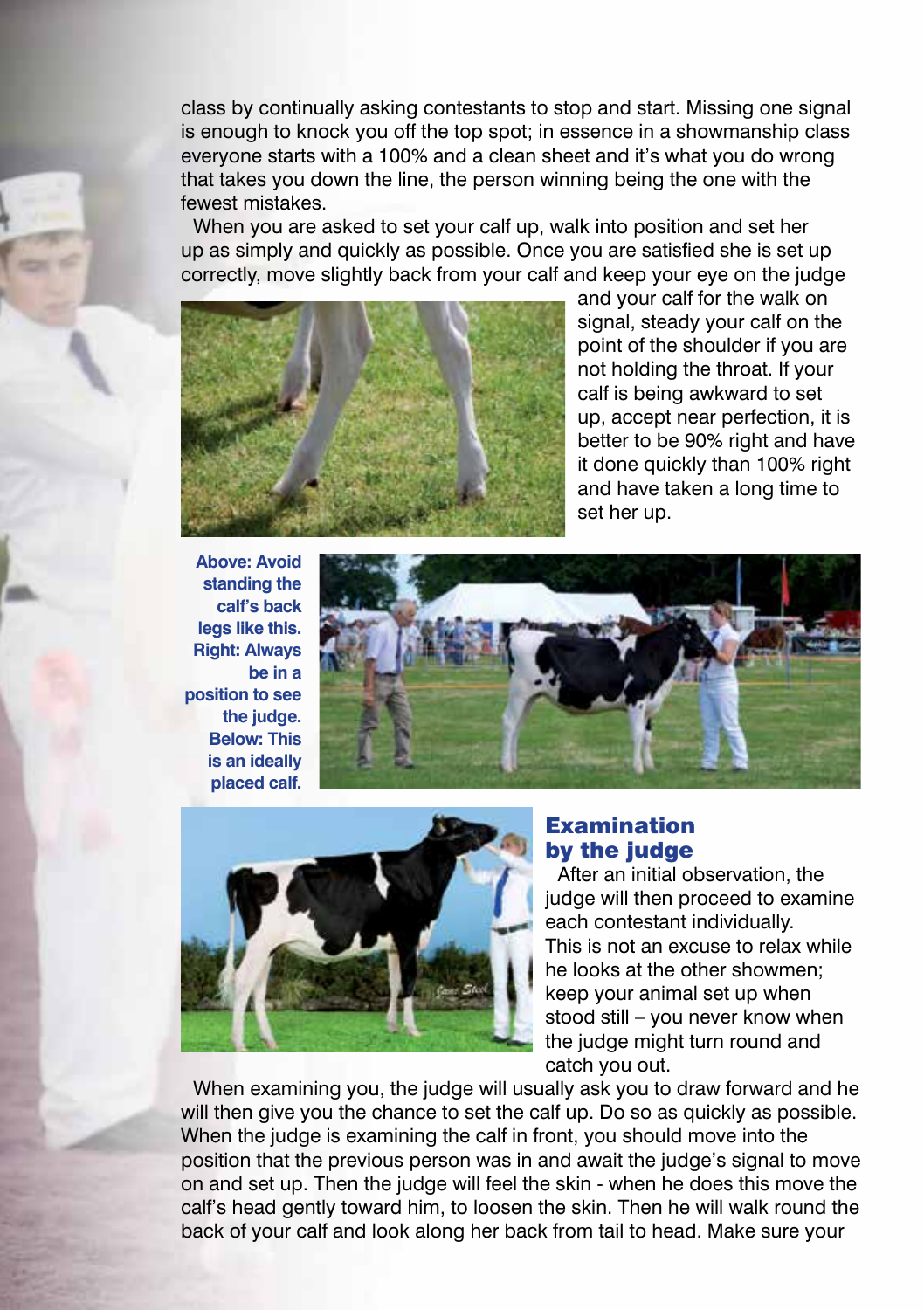class by continually asking contestants to stop and start. Missing one signal is enough to knock you off the top spot; in essence in a showmanship class everyone starts with a 100% and a clean sheet and it's what you do wrong that takes you down the line, the person winning being the one with the fewest mistakes.

When you are asked to set your calf up, walk into position and set her up as simply and quickly as possible. Once you are satisfied she is set up correctly, move slightly back from your calf and keep your eye on the judge



and your calf for the walk on signal, steady your calf on the point of the shoulder if you are not holding the throat. If your calf is being awkward to set up, accept near perfection, it is better to be 90% right and have it done quickly than 100% right and have taken a long time to set her up.

**Above: Avoid standing the calf's back legs like this. Right: Always be in a position to see the judge. Below: This is an ideally placed calf.**





# Examination by the judge

After an initial observation, the judge will then proceed to examine each contestant individually. This is not an excuse to relax while he looks at the other showmen; keep your animal set up when stood still – you never know when the judge might turn round and catch you out.

When examining you, the judge will usually ask you to draw forward and he will then give you the chance to set the calf up. Do so as quickly as possible. When the judge is examining the calf in front, you should move into the position that the previous person was in and await the judge's signal to move on and set up. Then the judge will feel the skin - when he does this move the calf's head gently toward him, to loosen the skin. Then he will walk round the back of your calf and look along her back from tail to head. Make sure your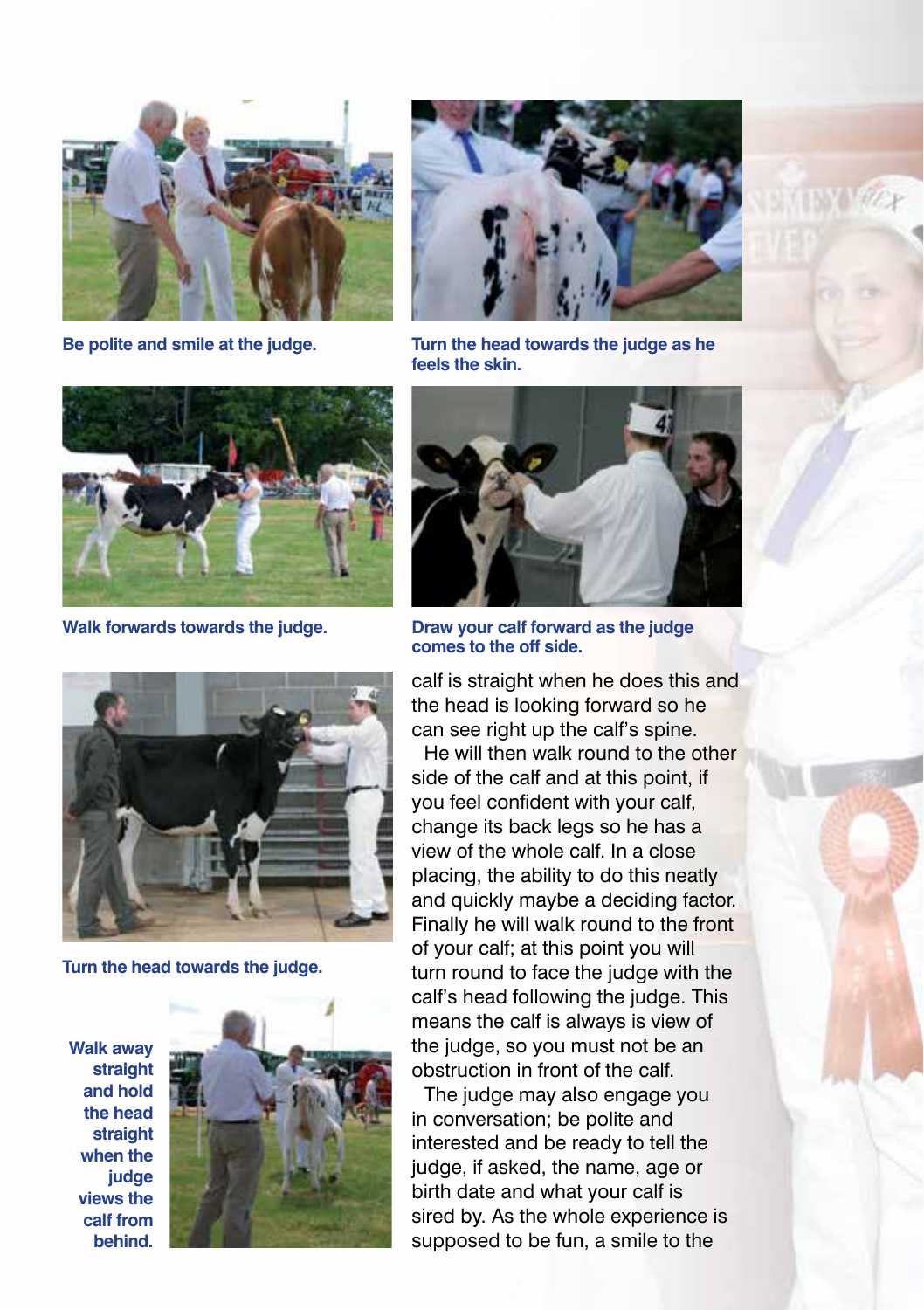



**Be polite and smile at the judge. Turn the head towards the judge as he feels the skin.**



**Walk forwards towards the judge. Draw your calf forward as the judge** 



**Turn the head towards the judge.**

**Walk away straight and hold the head straight when the judge views the calf from behind.**





**comes to the off side.**

calf is straight when he does this and the head is looking forward so he can see right up the calf's spine.

He will then walk round to the other side of the calf and at this point, if you feel confident with your calf, change its back legs so he has a view of the whole calf. In a close placing, the ability to do this neatly and quickly maybe a deciding factor. Finally he will walk round to the front of your calf; at this point you will turn round to face the judge with the calf's head following the judge. This means the calf is always is view of the judge, so you must not be an obstruction in front of the calf.

The judge may also engage you in conversation; be polite and interested and be ready to tell the judge, if asked, the name, age or birth date and what your calf is sired by. As the whole experience is supposed to be fun, a smile to the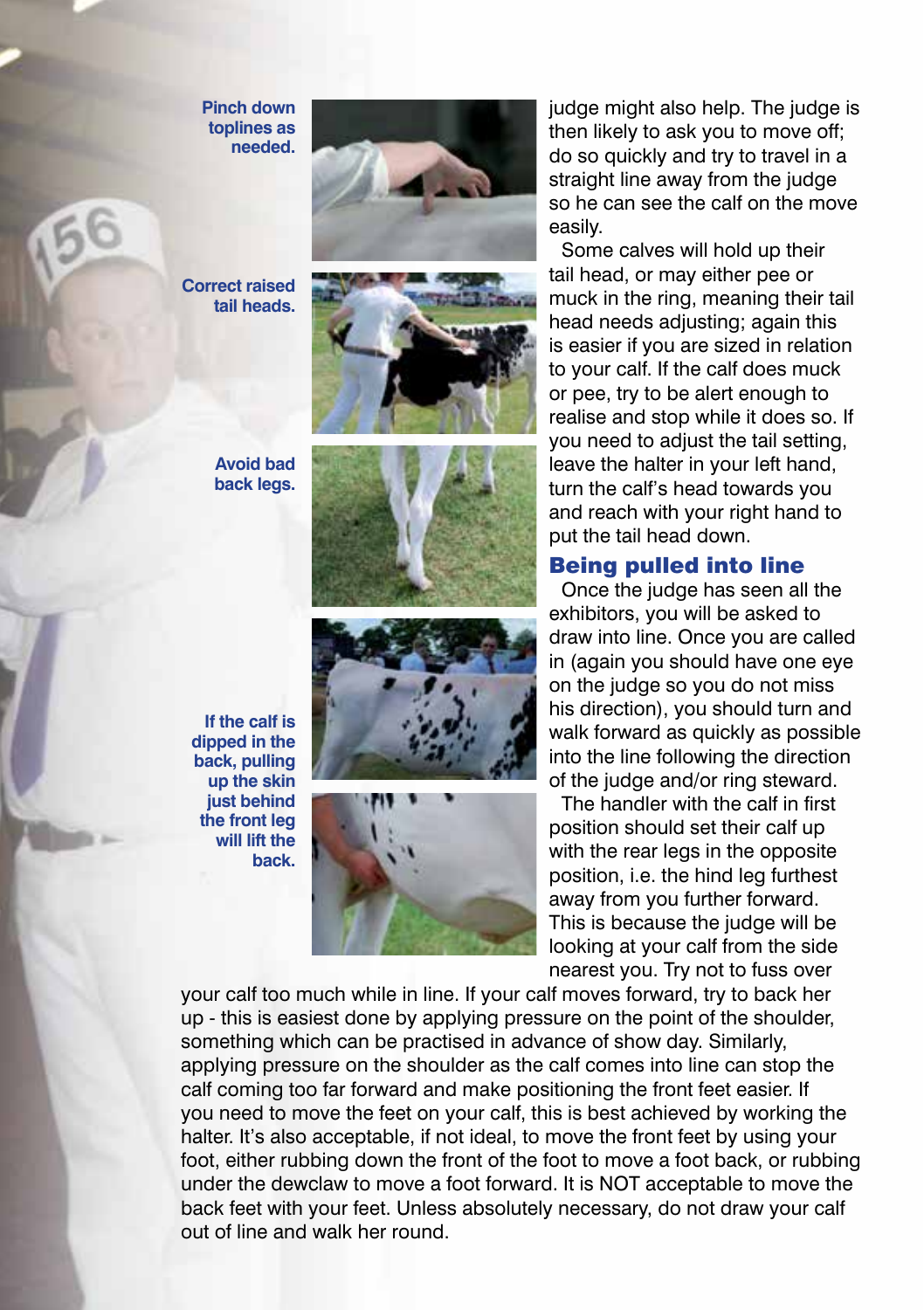**Pinch down toplines as needed.**

**Correct raised tail heads.**





**Avoid bad back legs.**







judge might also help. The judge is then likely to ask you to move off; do so quickly and try to travel in a straight line away from the judge so he can see the calf on the move easily.

Some calves will hold up their tail head, or may either pee or muck in the ring, meaning their tail head needs adjusting; again this is easier if you are sized in relation to your calf. If the calf does muck or pee, try to be alert enough to realise and stop while it does so. If you need to adjust the tail setting, leave the halter in your left hand, turn the calf's head towards you and reach with your right hand to put the tail head down.

#### Being pulled into line

Once the judge has seen all the exhibitors, you will be asked to draw into line. Once you are called in (again you should have one eye on the judge so you do not miss his direction), you should turn and walk forward as quickly as possible into the line following the direction of the judge and/or ring steward.

The handler with the calf in first position should set their calf up with the rear legs in the opposite position, i.e. the hind leg furthest away from you further forward. This is because the judge will be looking at your calf from the side nearest you. Try not to fuss over

your calf too much while in line. If your calf moves forward, try to back her up - this is easiest done by applying pressure on the point of the shoulder, something which can be practised in advance of show day. Similarly, applying pressure on the shoulder as the calf comes into line can stop the calf coming too far forward and make positioning the front feet easier. If you need to move the feet on your calf, this is best achieved by working the halter. It's also acceptable, if not ideal, to move the front feet by using your foot, either rubbing down the front of the foot to move a foot back, or rubbing under the dewclaw to move a foot forward. It is NOT acceptable to move the back feet with your feet. Unless absolutely necessary, do not draw your calf out of line and walk her round.

**If the calf is dipped in the back, pulling up the skin just behind the front leg will lift the back.**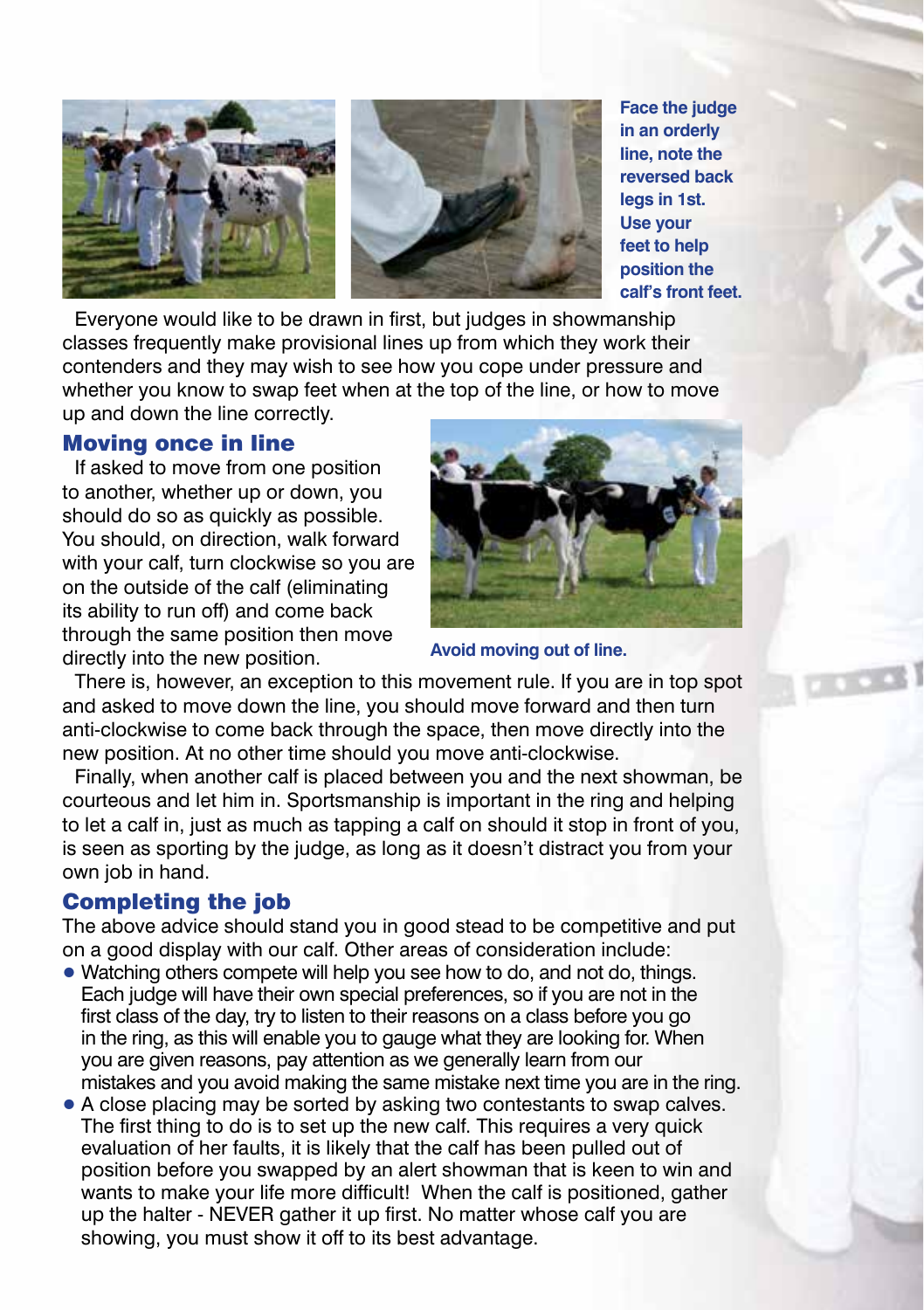



**Face the judge in an orderly line, note the reversed back legs in 1st. Use your feet to help position the calf's front feet.**

Everyone would like to be drawn in first, but judges in showmanship classes frequently make provisional lines up from which they work their contenders and they may wish to see how you cope under pressure and whether you know to swap feet when at the top of the line, or how to move up and down the line correctly.

### Moving once in line

If asked to move from one position to another, whether up or down, you should do so as quickly as possible. You should, on direction, walk forward with your calf, turn clockwise so you are on the outside of the calf (eliminating its ability to run off) and come back through the same position then move directly into the new position.



**Avoid moving out of line.**

There is, however, an exception to this movement rule. If you are in top spot and asked to move down the line, you should move forward and then turn anti-clockwise to come back through the space, then move directly into the new position. At no other time should you move anti-clockwise.

Finally, when another calf is placed between you and the next showman, be courteous and let him in. Sportsmanship is important in the ring and helping to let a calf in, just as much as tapping a calf on should it stop in front of you, is seen as sporting by the judge, as long as it doesn't distract you from your own job in hand.

# Completing the job

The above advice should stand you in good stead to be competitive and put on a good display with our calf. Other areas of consideration include:

- Watching others compete will help you see how to do, and not do, things. Each judge will have their own special preferences, so if you are not in the first class of the day, try to listen to their reasons on a class before you go in the ring, as this will enable you to gauge what they are looking for. When you are given reasons, pay attention as we generally learn from our mistakes and you avoid making the same mistake next time you are in the ring.
- A close placing may be sorted by asking two contestants to swap calves. The first thing to do is to set up the new calf. This requires a very quick evaluation of her faults, it is likely that the calf has been pulled out of position before you swapped by an alert showman that is keen to win and wants to make your life more difficult! When the calf is positioned, gather up the halter - NEVER gather it up first. No matter whose calf you are showing, you must show it off to its best advantage.